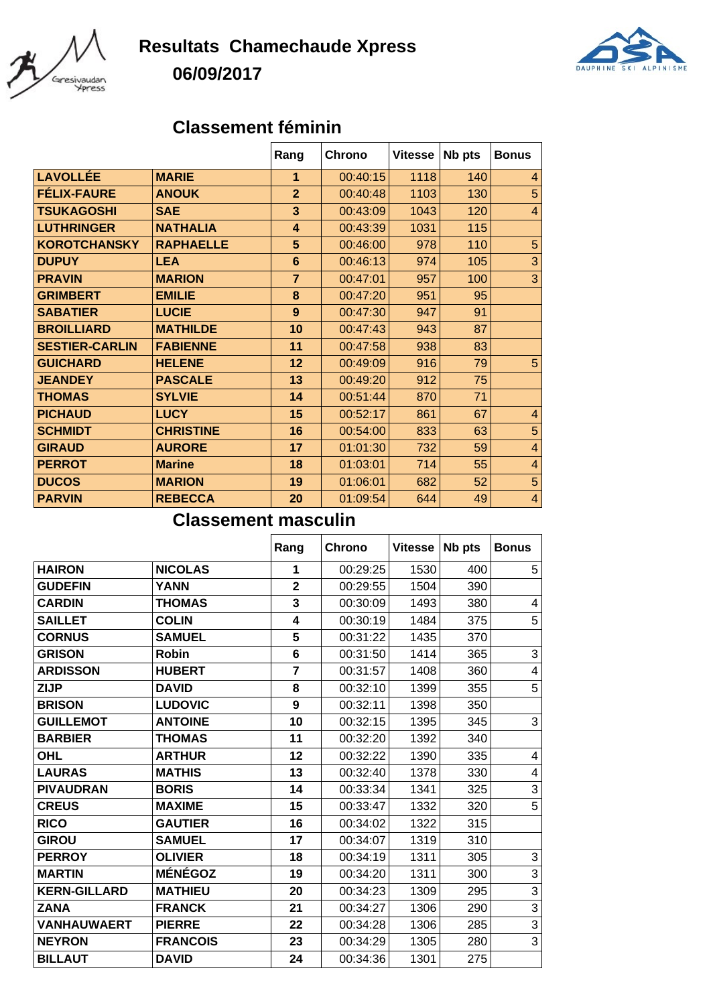

## **Resultats Chamechaude Xpress 06/09/2017**



## **Classement féminin**

|                       |                  | Rang           | <b>Chrono</b> | <b>Vitesse</b> | Nb pts | <b>Bonus</b>   |
|-----------------------|------------------|----------------|---------------|----------------|--------|----------------|
| LAVOLLÉE              | <b>MARIE</b>     | 1              | 00:40:15      | 1118           | 140    | 4              |
| <b>FÉLIX-FAURE</b>    | <b>ANOUK</b>     | $\overline{2}$ | 00:40:48      | 1103           | 130    | 5              |
| <b>TSUKAGOSHI</b>     | <b>SAE</b>       | 3              | 00:43:09      | 1043           | 120    | $\overline{4}$ |
| <b>LUTHRINGER</b>     | <b>NATHALIA</b>  | $\overline{4}$ | 00:43:39      | 1031           | 115    |                |
| <b>KOROTCHANSKY</b>   | <b>RAPHAELLE</b> | 5              | 00:46:00      | 978            | 110    | 5              |
| <b>DUPUY</b>          | <b>LEA</b>       | 6              | 00:46:13      | 974            | 105    | 3              |
| <b>PRAVIN</b>         | <b>MARION</b>    | $\overline{7}$ | 00:47:01      | 957            | 100    | 3              |
| <b>GRIMBERT</b>       | <b>EMILIE</b>    | 8              | 00:47:20      | 951            | 95     |                |
| <b>SABATIER</b>       | <b>LUCIE</b>     | 9              | 00:47:30      | 947            | 91     |                |
| <b>BROILLIARD</b>     | <b>MATHILDE</b>  | 10             | 00:47:43      | 943            | 87     |                |
| <b>SESTIER-CARLIN</b> | <b>FABIENNE</b>  | 11             | 00:47:58      | 938            | 83     |                |
| <b>GUICHARD</b>       | <b>HELENE</b>    | 12             | 00:49:09      | 916            | 79     | 5              |
| <b>JEANDEY</b>        | <b>PASCALE</b>   | 13             | 00:49:20      | 912            | 75     |                |
| <b>THOMAS</b>         | <b>SYLVIE</b>    | 14             | 00:51:44      | 870            | 71     |                |
| <b>PICHAUD</b>        | <b>LUCY</b>      | 15             | 00:52:17      | 861            | 67     | $\overline{4}$ |
| <b>SCHMIDT</b>        | <b>CHRISTINE</b> | 16             | 00:54:00      | 833            | 63     | 5              |
| <b>GIRAUD</b>         | <b>AURORE</b>    | 17             | 01:01:30      | 732            | 59     | $\overline{4}$ |
| <b>PERROT</b>         | <b>Marine</b>    | 18             | 01:03:01      | 714            | 55     | $\overline{4}$ |
| <b>DUCOS</b>          | <b>MARION</b>    | 19             | 01:06:01      | 682            | 52     | 5              |
| <b>PARVIN</b>         | <b>REBECCA</b>   | 20             | 01:09:54      | 644            | 49     | $\overline{4}$ |

## **Classement masculin**

|                     |                 | Rang           | <b>Chrono</b> | <b>Vitesse</b> | Nb pts | <b>Bonus</b>   |
|---------------------|-----------------|----------------|---------------|----------------|--------|----------------|
| <b>HAIRON</b>       | <b>NICOLAS</b>  | 1              | 00:29:25      | 1530           | 400    | 5              |
| <b>GUDEFIN</b>      | <b>YANN</b>     | $\overline{2}$ | 00:29:55      | 1504           | 390    |                |
| <b>CARDIN</b>       | <b>THOMAS</b>   | 3              | 00:30:09      | 1493           | 380    | 4              |
| <b>SAILLET</b>      | <b>COLIN</b>    | 4              | 00:30:19      | 1484           | 375    | 5              |
| <b>CORNUS</b>       | <b>SAMUEL</b>   | 5              | 00:31:22      | 1435           | 370    |                |
| <b>GRISON</b>       | <b>Robin</b>    | 6              | 00:31:50      | 1414           | 365    | 3              |
| <b>ARDISSON</b>     | <b>HUBERT</b>   | $\overline{7}$ | 00:31:57      | 1408           | 360    | 4              |
| <b>ZIJP</b>         | <b>DAVID</b>    | 8              | 00:32:10      | 1399           | 355    | 5              |
| <b>BRISON</b>       | <b>LUDOVIC</b>  | 9              | 00:32:11      | 1398           | 350    |                |
| <b>GUILLEMOT</b>    | <b>ANTOINE</b>  | 10             | 00:32:15      | 1395           | 345    | 3              |
| <b>BARBIER</b>      | <b>THOMAS</b>   | 11             | 00:32:20      | 1392           | 340    |                |
| <b>OHL</b>          | <b>ARTHUR</b>   | 12             | 00:32:22      | 1390           | 335    | 4              |
| <b>LAURAS</b>       | <b>MATHIS</b>   | 13             | 00:32:40      | 1378           | 330    | 4              |
| <b>PIVAUDRAN</b>    | <b>BORIS</b>    | 14             | 00:33:34      | 1341           | 325    | $\mathfrak{S}$ |
| <b>CREUS</b>        | <b>MAXIME</b>   | 15             | 00:33:47      | 1332           | 320    | 5              |
| <b>RICO</b>         | <b>GAUTIER</b>  | 16             | 00:34:02      | 1322           | 315    |                |
| <b>GIROU</b>        | <b>SAMUEL</b>   | 17             | 00:34:07      | 1319           | 310    |                |
| <b>PERROY</b>       | <b>OLIVIER</b>  | 18             | 00:34:19      | 1311           | 305    | 3              |
| <b>MARTIN</b>       | <b>MÉNÉGOZ</b>  | 19             | 00:34:20      | 1311           | 300    | $\mathbf{3}$   |
| <b>KERN-GILLARD</b> | <b>MATHIEU</b>  | 20             | 00:34:23      | 1309           | 295    | $\mathfrak{S}$ |
| <b>ZANA</b>         | <b>FRANCK</b>   | 21             | 00:34:27      | 1306           | 290    | $\overline{3}$ |
| <b>VANHAUWAERT</b>  | <b>PIERRE</b>   | 22             | 00:34:28      | 1306           | 285    | $\overline{3}$ |
| <b>NEYRON</b>       | <b>FRANCOIS</b> | 23             | 00:34:29      | 1305           | 280    | 3              |
| <b>BILLAUT</b>      | <b>DAVID</b>    | 24             | 00:34:36      | 1301           | 275    |                |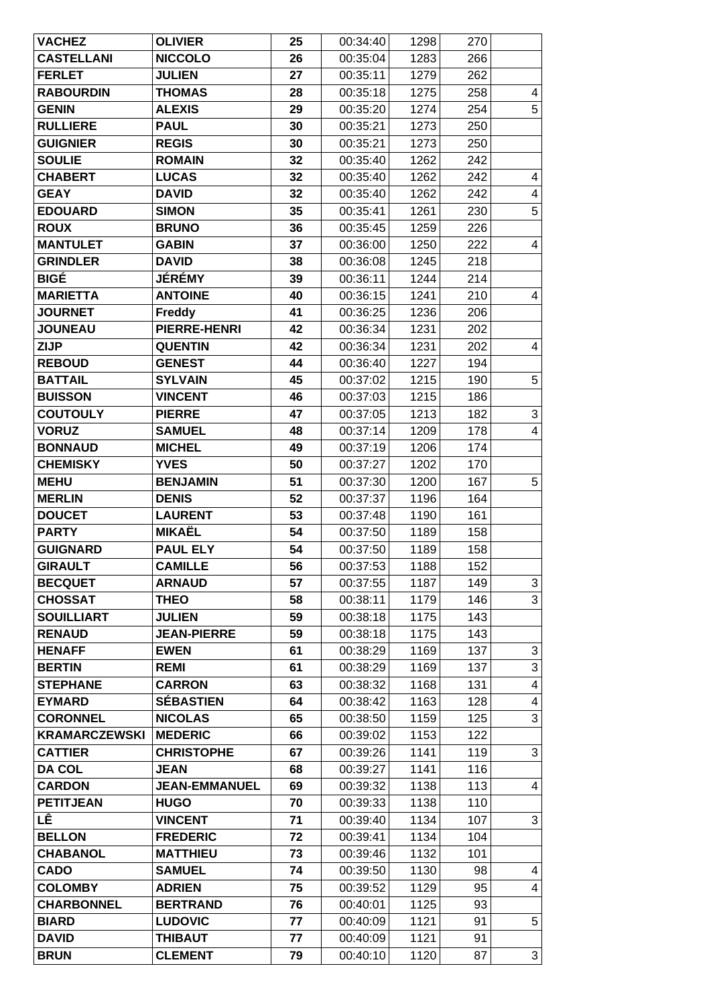| <b>VACHEZ</b>                    | <b>OLIVIER</b>                     | 25       | 00:34:40             | 1298         | 270        |                              |
|----------------------------------|------------------------------------|----------|----------------------|--------------|------------|------------------------------|
| <b>CASTELLANI</b>                | <b>NICCOLO</b>                     | 26       | 00:35:04             | 1283         | 266        |                              |
| <b>FERLET</b>                    | <b>JULIEN</b>                      | 27       | 00:35:11             | 1279         | 262        |                              |
| <b>RABOURDIN</b>                 | <b>THOMAS</b>                      | 28       | 00:35:18             | 1275         | 258        | 4                            |
| <b>GENIN</b>                     | <b>ALEXIS</b>                      | 29       | 00:35:20             | 1274         | 254        | 5                            |
| <b>RULLIERE</b>                  | <b>PAUL</b>                        | 30       | 00:35:21             | 1273         | 250        |                              |
| <b>GUIGNIER</b>                  | <b>REGIS</b>                       | 30       | 00:35:21             | 1273         | 250        |                              |
| <b>SOULIE</b>                    | <b>ROMAIN</b>                      | 32       | 00:35:40             | 1262         | 242        |                              |
| <b>CHABERT</b>                   | <b>LUCAS</b>                       | 32       | 00:35:40             | 1262         | 242        | 4                            |
| <b>GEAY</b>                      | <b>DAVID</b>                       | 32       | 00:35:40             | 1262         | 242        | $\overline{\mathbf{4}}$      |
| <b>EDOUARD</b>                   | <b>SIMON</b>                       | 35       | 00:35:41             | 1261         | 230        | $\overline{5}$               |
| <b>ROUX</b>                      | <b>BRUNO</b>                       | 36       | 00:35:45             | 1259         | 226        |                              |
| <b>MANTULET</b>                  | <b>GABIN</b>                       | 37       | 00:36:00             | 1250         | 222        | $\overline{\mathbf{4}}$      |
| <b>GRINDLER</b>                  | <b>DAVID</b>                       | 38       | 00:36:08             | 1245         | 218        |                              |
| <b>BIGÉ</b>                      | <b>JÉRÉMY</b>                      | 39       | 00:36:11             | 1244         | 214        |                              |
| <b>MARIETTA</b>                  | <b>ANTOINE</b>                     | 40       | 00:36:15             | 1241         | 210        | 4                            |
| <b>JOURNET</b>                   | <b>Freddy</b>                      | 41       | 00:36:25             | 1236         | 206        |                              |
| <b>JOUNEAU</b>                   | PIERRE-HENRI                       | 42       | 00:36:34             | 1231         | 202        |                              |
| <b>ZIJP</b>                      | <b>QUENTIN</b>                     | 42       | 00:36:34             | 1231         | 202        | 4                            |
| <b>REBOUD</b>                    | <b>GENEST</b>                      | 44       | 00:36:40             | 1227         | 194        |                              |
| <b>BATTAIL</b>                   | <b>SYLVAIN</b>                     | 45       | 00:37:02             | 1215         | 190        | 5                            |
| <b>BUISSON</b>                   | <b>VINCENT</b>                     | 46       | 00:37:03             | 1215         | 186        |                              |
| <b>COUTOULY</b>                  | <b>PIERRE</b>                      | 47       | 00:37:05             | 1213         | 182        | $\ensuremath{\mathsf{3}}$    |
| <b>VORUZ</b>                     | <b>SAMUEL</b>                      | 48       | 00:37:14             | 1209         | 178        | $\overline{\mathbf{4}}$      |
| <b>BONNAUD</b>                   | <b>MICHEL</b>                      | 49       | 00:37:19             | 1206         | 174        |                              |
| <b>CHEMISKY</b>                  | <b>YVES</b>                        | 50       | 00:37:27             | 1202         | 170        |                              |
| <b>MEHU</b>                      | <b>BENJAMIN</b>                    | 51       | 00:37:30             | 1200         | 167        | 5                            |
| <b>MERLIN</b>                    | <b>DENIS</b>                       | 52       | 00:37:37             | 1196         | 164        |                              |
| <b>DOUCET</b>                    | <b>LAURENT</b>                     | 53       | 00:37:48             | 1190         | 161        |                              |
| <b>PARTY</b>                     | <b>MIKAËL</b>                      | 54       | 00:37:50             | 1189         | 158        |                              |
| <b>GUIGNARD</b>                  | <b>PAUL ELY</b>                    | 54       | 00:37:50             | 1189         | 158        |                              |
| <b>GIRAULT</b>                   | <b>CAMILLE</b>                     | 56       | 00:37:53             | 1188         | 152        |                              |
| <b>BECQUET</b>                   | <b>ARNAUD</b>                      | 57       | 00:37:55             | 1187         | 149        | $\ensuremath{\mathsf{3}}$    |
| <b>CHOSSAT</b>                   | <b>THEO</b>                        | 58       | 00:38:11             | 1179         | 146        | $\overline{3}$               |
| <b>SOUILLIART</b>                | <b>JULIEN</b>                      | 59       | 00:38:18             | 1175         | 143        |                              |
| <b>RENAUD</b>                    | <b>JEAN-PIERRE</b>                 | 59       | 00:38:18             | 1175         | 143        |                              |
| <b>HENAFF</b>                    | <b>EWEN</b>                        | 61       | 00:38:29             | 1169         | 137        | 3                            |
| <b>BERTIN</b>                    | <b>REMI</b>                        | 61       | 00:38:29             | 1169         | 137        | 3                            |
| <b>STEPHANE</b>                  | <b>CARRON</b>                      | 63       | 00:38:32             | 1168         | 131        | $\overline{\mathbf{4}}$      |
| <b>EYMARD</b>                    | <b>SÉBASTIEN</b>                   | 64       | 00:38:42             | 1163         | 128        | 4                            |
| <b>CORONNEL</b>                  | <b>NICOLAS</b>                     | 65       | 00:38:50             | 1159         | 125        | $\overline{3}$               |
| <b>KRAMARCZEWSKI</b>             | <b>MEDERIC</b>                     | 66       | 00:39:02             | 1153         | 122        |                              |
| <b>CATTIER</b>                   | <b>CHRISTOPHE</b>                  | 67       | 00:39:26             | 1141         | 119        | 3                            |
| <b>DA COL</b>                    | <b>JEAN</b>                        | 68       | 00:39:27             | 1141         | 116        |                              |
| <b>CARDON</b>                    | <b>JEAN-EMMANUEL</b>               | 69       | 00:39:32             | 1138         | 113        | 4                            |
| <b>PETITJEAN</b>                 | <b>HUGO</b>                        | 70       | 00:39:33             | 1138         | 110        |                              |
| LÊ                               | <b>VINCENT</b>                     | 71       | 00:39:40             | 1134         | 107        | 3                            |
| <b>BELLON</b><br><b>CHABANOL</b> | <b>FREDERIC</b><br><b>MATTHIEU</b> | 72<br>73 | 00:39:41<br>00:39:46 | 1134<br>1132 | 104<br>101 |                              |
|                                  |                                    |          |                      |              |            |                              |
| <b>CADO</b><br><b>COLOMBY</b>    | <b>SAMUEL</b><br><b>ADRIEN</b>     | 74<br>75 | 00:39:50<br>00:39:52 | 1130<br>1129 | 98<br>95   | 4<br>$\overline{\mathbf{4}}$ |
| <b>CHARBONNEL</b>                | <b>BERTRAND</b>                    | 76       | 00:40:01             | 1125         | 93         |                              |
| <b>BIARD</b>                     | <b>LUDOVIC</b>                     | 77       | 00:40:09             | 1121         | 91         | 5                            |
| <b>DAVID</b>                     | <b>THIBAUT</b>                     | 77       | 00:40:09             | 1121         | 91         |                              |
| <b>BRUN</b>                      | <b>CLEMENT</b>                     |          |                      | 1120         |            | 3                            |
|                                  |                                    | 79       | 00:40:10             |              | 87         |                              |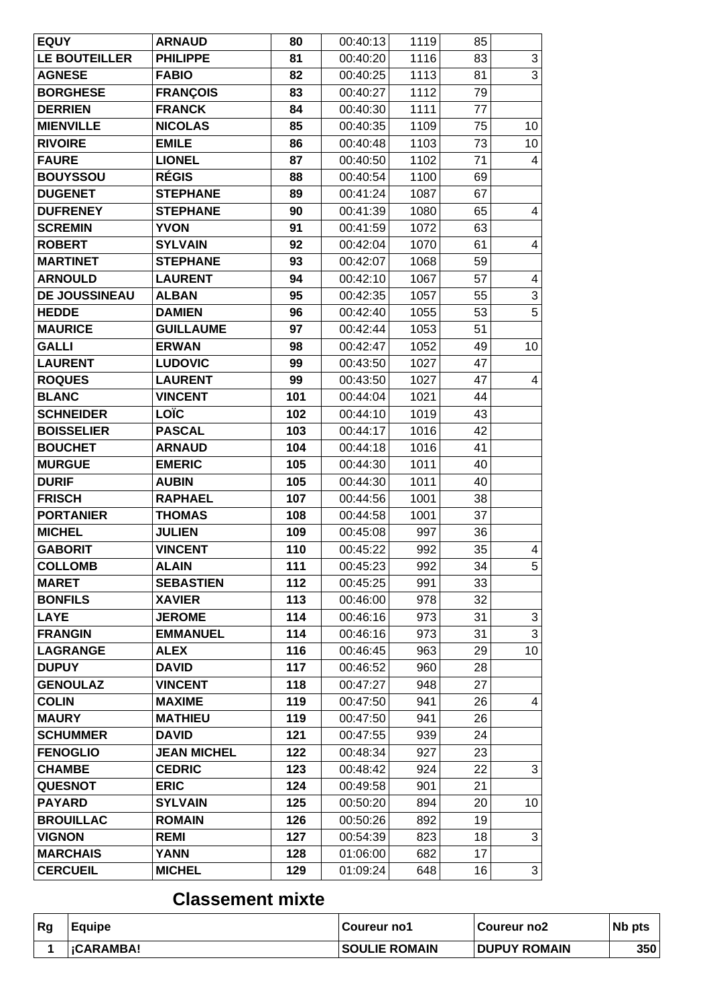| <b>EQUY</b>                     | <b>ARNAUD</b>                  | 80         | 00:40:13             | 1119       | 85       |                |
|---------------------------------|--------------------------------|------------|----------------------|------------|----------|----------------|
| LE BOUTEILLER                   | <b>PHILIPPE</b>                | 81         | 00:40:20             | 1116       | 83       | $\sqrt{3}$     |
| <b>AGNESE</b>                   | <b>FABIO</b>                   | 82         | 00:40:25             | 1113       | 81       | $\overline{3}$ |
| <b>BORGHESE</b>                 | <b>FRANÇOIS</b>                | 83         | 00:40:27             | 1112       | 79       |                |
| <b>DERRIEN</b>                  | <b>FRANCK</b>                  | 84         | 00:40:30             | 1111       | 77       |                |
| <b>MIENVILLE</b>                | <b>NICOLAS</b>                 | 85         | 00:40:35             | 1109       | 75       | 10             |
| <b>RIVOIRE</b>                  | <b>EMILE</b>                   | 86         | 00:40:48             | 1103       | 73       | 10             |
| <b>FAURE</b>                    | <b>LIONEL</b>                  | 87         | 00:40:50             | 1102       | 71       | $\overline{4}$ |
| <b>BOUYSSOU</b>                 | <b>RÉGIS</b>                   | 88         | 00:40:54             | 1100       | 69       |                |
| <b>DUGENET</b>                  | <b>STEPHANE</b>                | 89         | 00:41:24             | 1087       | 67       |                |
| <b>DUFRENEY</b>                 | <b>STEPHANE</b>                | 90         | 00:41:39             | 1080       | 65       | 4              |
| <b>SCREMIN</b>                  | <b>YVON</b>                    | 91         | 00:41:59             | 1072       | 63       |                |
| <b>ROBERT</b>                   | <b>SYLVAIN</b>                 | 92         | 00:42:04             | 1070       | 61       | 4              |
| <b>MARTINET</b>                 | <b>STEPHANE</b>                | 93         | 00:42:07             | 1068       | 59       |                |
| <b>ARNOULD</b>                  | <b>LAURENT</b>                 | 94         | 00:42:10             | 1067       | 57       | 4              |
| <b>DE JOUSSINEAU</b>            | <b>ALBAN</b>                   | 95         | 00:42:35             | 1057       | 55       | 3              |
| <b>HEDDE</b>                    | <b>DAMIEN</b>                  | 96         | 00:42:40             | 1055       | 53       | $\overline{5}$ |
| <b>MAURICE</b>                  | <b>GUILLAUME</b>               | 97         | 00:42:44             | 1053       | 51       |                |
| <b>GALLI</b>                    | <b>ERWAN</b>                   | 98         | 00:42:47             | 1052       | 49       | 10             |
| <b>LAURENT</b>                  | <b>LUDOVIC</b>                 | 99         | 00:43:50             | 1027       | 47       |                |
| <b>ROQUES</b>                   | <b>LAURENT</b>                 | 99         | 00:43:50             | 1027       | 47       | 4              |
| <b>BLANC</b>                    | <b>VINCENT</b>                 | 101        | 00:44:04             | 1021       | 44       |                |
| <b>SCHNEIDER</b>                | <b>LOÏC</b>                    | 102        | 00:44:10             | 1019       | 43       |                |
| <b>BOISSELIER</b>               | <b>PASCAL</b>                  | 103        | 00:44:17             | 1016       | 42       |                |
| <b>BOUCHET</b>                  | <b>ARNAUD</b>                  | 104        | 00:44:18             | 1016       | 41       |                |
| <b>MURGUE</b>                   | <b>EMERIC</b>                  | 105        | 00:44:30             | 1011       | 40       |                |
| <b>DURIF</b>                    | <b>AUBIN</b>                   | 105        | 00:44:30             | 1011       | 40       |                |
| <b>FRISCH</b>                   | <b>RAPHAEL</b>                 | 107        | 00:44:56             | 1001       | 38       |                |
| <b>PORTANIER</b>                | <b>THOMAS</b>                  | 108        | 00:44:58             | 1001       | 37       |                |
| <b>MICHEL</b>                   | <b>JULIEN</b>                  | 109        | 00:45:08             | 997        | 36       |                |
| <b>GABORIT</b>                  | <b>VINCENT</b>                 | 110        | 00:45:22             | 992        | 35       | 4              |
| <b>COLLOMB</b>                  | <b>ALAIN</b>                   | 111        | 00:45:23             | 992        | 34       | 5              |
| <b>MARET</b>                    | <b>SEBASTIEN</b>               | 112        | 00:45:25             | 991        | 33       |                |
| <b>BONFILS</b>                  | <b>XAVIER</b>                  | 113        | 00:46:00             | 978        | 32       |                |
| <b>LAYE</b>                     | <b>JEROME</b>                  | 114        | 00:46:16             | 973        | 31       | 3              |
| <b>FRANGIN</b>                  | <b>EMMANUEL</b>                | 114        | 00:46:16             | 973        | 31       | 3              |
| <b>LAGRANGE</b>                 | <b>ALEX</b>                    | 116        | 00:46:45             | 963        | 29       | 10             |
| <b>DUPUY</b><br><b>GENOULAZ</b> | <b>DAVID</b><br><b>VINCENT</b> | 117        | 00:46:52             | 960<br>948 | 28<br>27 |                |
| <b>COLIN</b>                    | <b>MAXIME</b>                  | 118<br>119 | 00:47:27<br>00:47:50 | 941        | 26       | 4              |
| <b>MAURY</b>                    | <b>MATHIEU</b>                 | 119        | 00:47:50             | 941        | 26       |                |
| <b>SCHUMMER</b>                 | <b>DAVID</b>                   | 121        | 00:47:55             | 939        | 24       |                |
| <b>FENOGLIO</b>                 | <b>JEAN MICHEL</b>             | 122        | 00:48:34             | 927        | 23       |                |
| <b>CHAMBE</b>                   | <b>CEDRIC</b>                  | 123        | 00:48:42             | 924        | 22       | 3              |
| <b>QUESNOT</b>                  | <b>ERIC</b>                    | 124        | 00:49:58             | 901        | 21       |                |
| <b>PAYARD</b>                   | <b>SYLVAIN</b>                 | 125        | 00:50:20             | 894        | 20       | 10             |
| <b>BROUILLAC</b>                | <b>ROMAIN</b>                  | 126        | 00:50:26             | 892        | 19       |                |
| <b>VIGNON</b>                   | <b>REMI</b>                    | 127        | 00:54:39             | 823        | 18       | 3              |
| <b>MARCHAIS</b>                 | <b>YANN</b>                    | 128        | 01:06:00             | 682        | 17       |                |
| <b>CERCUEIL</b>                 | <b>MICHEL</b>                  | 129        | 01:09:24             | 648        | 16       | $\overline{3}$ |
|                                 |                                |            |                      |            |          |                |

## **Classement mixte**

| Rg | l Eauipe          | Coureur no1          | ∣Coureur no2        | N <sub>b</sub> pts |
|----|-------------------|----------------------|---------------------|--------------------|
|    | <b>I</b> GARAMBA! | <b>SOULIE ROMAIN</b> | <b>DUPUY ROMAIN</b> | 350                |